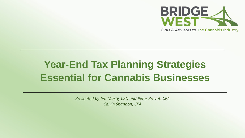

# **Year-End Tax Planning Strategies Essential for Cannabis Businesses**

*Presented by Jim Marty, CEO and Peter Prevot, CPA Calvin Shannon, CPA*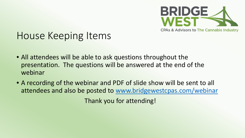

# House Keeping Items

- All attendees will be able to ask questions throughout the presentation. The questions will be answered at the end of the webinar
- A recording of the webinar and PDF of slide show will be sent to all attendees and also be posted to [www.bridgewestcpas.com/webinar](http://www.bridgewestcpas.com/webinar) Thank you for attending!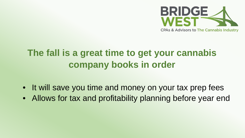

# **The fall is a great time to get your cannabis company books in order**

- It will save you time and money on your tax prep fees
- Allows for tax and profitability planning before year end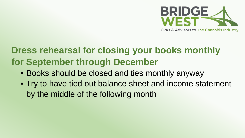

# **Dress rehearsal for closing your books monthly for September through December**

- Books should be closed and ties monthly anyway
- Try to have tied out balance sheet and income statement by the middle of the following month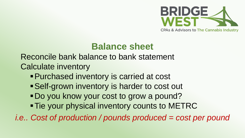

#### **Balance sheet**

Reconcile bank balance to bank statement Calculate inventory

- Purchased inventory is carried at cost
- Self-grown inventory is harder to cost out
- Do you know your cost to grow a pound?
- **Tie your physical inventory counts to METRC**

*i.e.. Cost of production / pounds produced = cost per pound*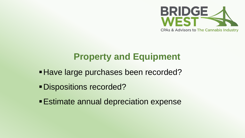

### **Property and Equipment**

- **Have large purchases been recorded?**
- Dispositions recorded?
- Estimate annual depreciation expense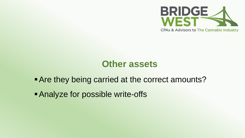

#### **Other assets**

**Are they being carried at the correct amounts?** 

Analyze for possible write-offs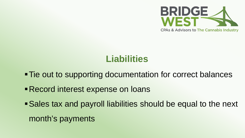

## **Liabilities**

- Tie out to supporting documentation for correct balances
- Record interest expense on loans
- Sales tax and payroll liabilities should be equal to the next month's payments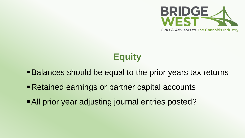

# **Equity**

- **Balances should be equal to the prior years tax returns**
- Retained earnings or partner capital accounts
- All prior year adjusting journal entries posted?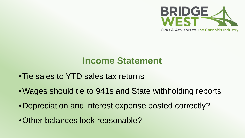

#### **Income Statement**

- •Tie sales to YTD sales tax returns
- •Wages should tie to 941s and State withholding reports
- •Depreciation and interest expense posted correctly?
- •Other balances look reasonable?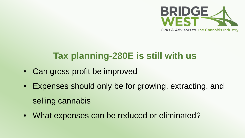

## **Tax planning-280E is still with us**

- Can gross profit be improved
- Expenses should only be for growing, extracting, and selling cannabis
- What expenses can be reduced or eliminated?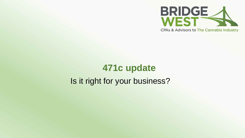

# **471c update**  Is it right for your business?